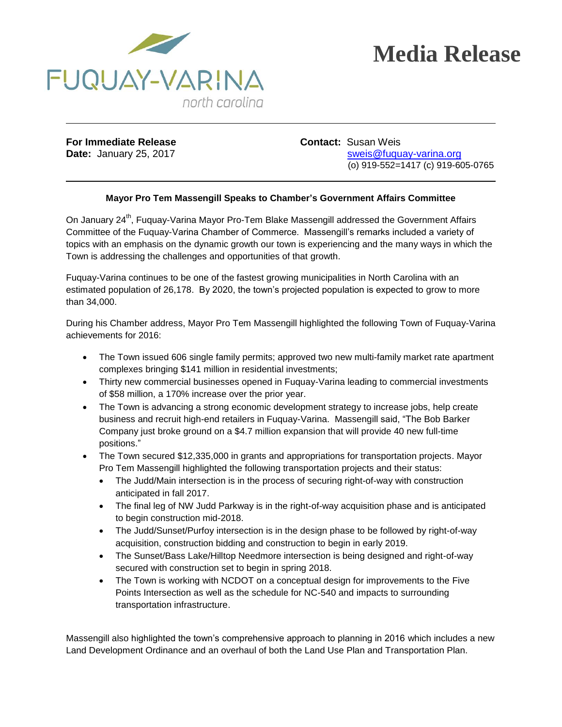

## **Media Release**

**For Immediate Release <b>Contact:** Susan Weis

**Date:** January 25, 2017 **State:** State: State: Sweis@fuquay-varina.org (o) 919-552=1417 (c) 919-605-0765

## **Mayor Pro Tem Massengill Speaks to Chamber's Government Affairs Committee**

On January 24<sup>th</sup>, Fuquay-Varina Mayor Pro-Tem Blake Massengill addressed the Government Affairs Committee of the Fuquay-Varina Chamber of Commerce. Massengill's remarks included a variety of topics with an emphasis on the dynamic growth our town is experiencing and the many ways in which the Town is addressing the challenges and opportunities of that growth.

Fuquay-Varina continues to be one of the fastest growing municipalities in North Carolina with an estimated population of 26,178. By 2020, the town's projected population is expected to grow to more than 34,000.

During his Chamber address, Mayor Pro Tem Massengill highlighted the following Town of Fuquay-Varina achievements for 2016:

- The Town issued 606 single family permits; approved two new multi-family market rate apartment complexes bringing \$141 million in residential investments;
- Thirty new commercial businesses opened in Fuquay-Varina leading to commercial investments of \$58 million, a 170% increase over the prior year.
- The Town is advancing a strong economic development strategy to increase jobs, help create business and recruit high-end retailers in Fuquay-Varina. Massengill said, "The Bob Barker Company just broke ground on a \$4.7 million expansion that will provide 40 new full-time positions."
- The Town secured \$12,335,000 in grants and appropriations for transportation projects. Mayor Pro Tem Massengill highlighted the following transportation projects and their status:
	- The Judd/Main intersection is in the process of securing right-of-way with construction anticipated in fall 2017.
	- The final leg of NW Judd Parkway is in the right-of-way acquisition phase and is anticipated to begin construction mid-2018.
	- The Judd/Sunset/Purfoy intersection is in the design phase to be followed by right-of-way acquisition, construction bidding and construction to begin in early 2019.
	- The Sunset/Bass Lake/Hilltop Needmore intersection is being designed and right-of-way secured with construction set to begin in spring 2018.
	- The Town is working with NCDOT on a conceptual design for improvements to the Five Points Intersection as well as the schedule for NC-540 and impacts to surrounding transportation infrastructure.

Massengill also highlighted the town's comprehensive approach to planning in 2016 which includes a new Land Development Ordinance and an overhaul of both the Land Use Plan and Transportation Plan.